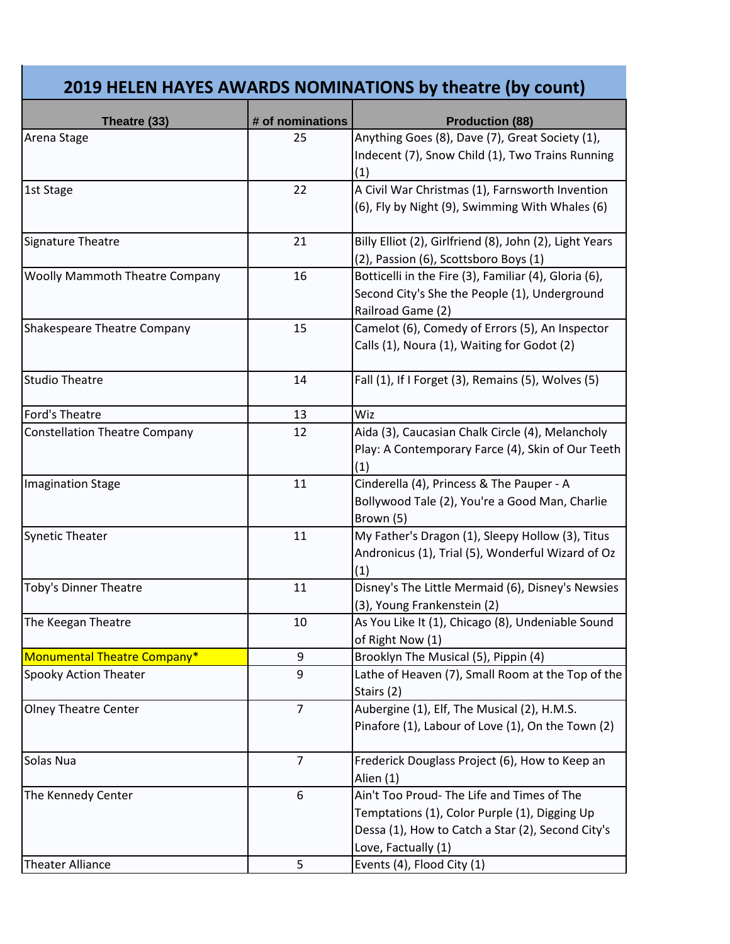## **2019 HELEN HAYES AWARDS NOMINATIONS by theatre (by count)**

| Theatre (33)                          | # of nominations | <b>Production (88)</b>                                  |
|---------------------------------------|------------------|---------------------------------------------------------|
| Arena Stage                           | 25               | Anything Goes (8), Dave (7), Great Society (1),         |
|                                       |                  | Indecent (7), Snow Child (1), Two Trains Running        |
|                                       |                  | (1)                                                     |
| 1st Stage                             | 22               | A Civil War Christmas (1), Farnsworth Invention         |
|                                       |                  | (6), Fly by Night (9), Swimming With Whales (6)         |
|                                       |                  |                                                         |
| Signature Theatre                     | 21               | Billy Elliot (2), Girlfriend (8), John (2), Light Years |
|                                       |                  | (2), Passion (6), Scottsboro Boys (1)                   |
| <b>Woolly Mammoth Theatre Company</b> | 16               | Botticelli in the Fire (3), Familiar (4), Gloria (6),   |
|                                       |                  | Second City's She the People (1), Underground           |
|                                       |                  | Railroad Game (2)                                       |
| <b>Shakespeare Theatre Company</b>    | 15               | Camelot (6), Comedy of Errors (5), An Inspector         |
|                                       |                  | Calls (1), Noura (1), Waiting for Godot (2)             |
|                                       |                  |                                                         |
| <b>Studio Theatre</b>                 | 14               | Fall (1), If I Forget (3), Remains (5), Wolves (5)      |
|                                       |                  |                                                         |
| Ford's Theatre                        | 13               | Wiz                                                     |
| <b>Constellation Theatre Company</b>  | 12               | Aida (3), Caucasian Chalk Circle (4), Melancholy        |
|                                       |                  | Play: A Contemporary Farce (4), Skin of Our Teeth       |
|                                       |                  | (1)                                                     |
| <b>Imagination Stage</b>              | 11               | Cinderella (4), Princess & The Pauper - A               |
|                                       |                  | Bollywood Tale (2), You're a Good Man, Charlie          |
|                                       |                  | Brown (5)                                               |
| <b>Synetic Theater</b>                | 11               | My Father's Dragon (1), Sleepy Hollow (3), Titus        |
|                                       |                  | Andronicus (1), Trial (5), Wonderful Wizard of Oz       |
|                                       |                  | (1)                                                     |
| Toby's Dinner Theatre                 | 11               | Disney's The Little Mermaid (6), Disney's Newsies       |
|                                       |                  | (3), Young Frankenstein (2)                             |
| The Keegan Theatre                    | 10               | As You Like It (1), Chicago (8), Undeniable Sound       |
|                                       |                  | of Right Now (1)                                        |
| Monumental Theatre Company*           | 9                | Brooklyn The Musical (5), Pippin (4)                    |
| <b>Spooky Action Theater</b>          | 9                | Lathe of Heaven (7), Small Room at the Top of the       |
|                                       |                  | Stairs (2)                                              |
| <b>Olney Theatre Center</b>           | $\overline{7}$   | Aubergine (1), Elf, The Musical (2), H.M.S.             |
|                                       |                  | Pinafore (1), Labour of Love (1), On the Town (2)       |
|                                       |                  |                                                         |
| Solas Nua                             | $\overline{7}$   | Frederick Douglass Project (6), How to Keep an          |
|                                       |                  | Alien (1)                                               |
| The Kennedy Center                    | 6                | Ain't Too Proud- The Life and Times of The              |
|                                       |                  | Temptations (1), Color Purple (1), Digging Up           |
|                                       |                  | Dessa (1), How to Catch a Star (2), Second City's       |
|                                       |                  | Love, Factually (1)                                     |
| <b>Theater Alliance</b>               | 5                | Events (4), Flood City (1)                              |